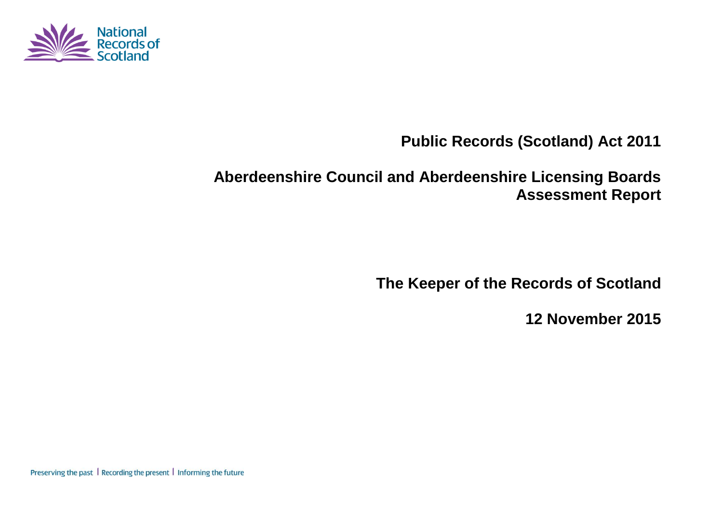

**Public Records (Scotland) Act 2011**

# **Aberdeenshire Council and Aberdeenshire Licensing Boards Assessment Report**

**The Keeper of the Records of Scotland**

**12 November 2015**

Preserving the past | Recording the present | Informing the future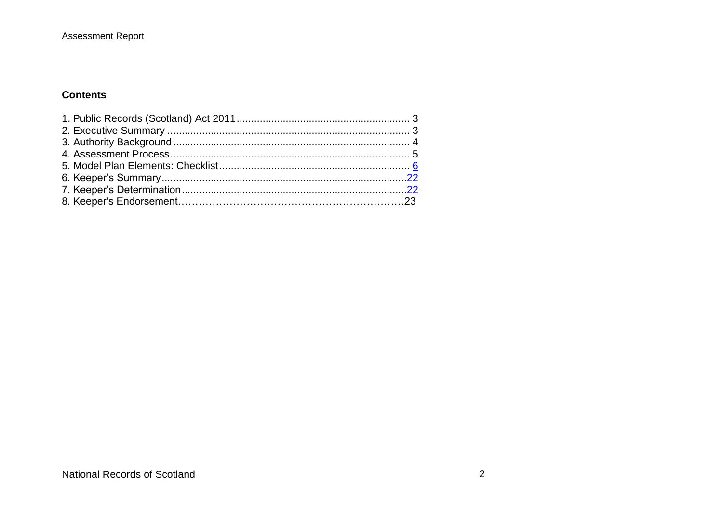#### **Contents**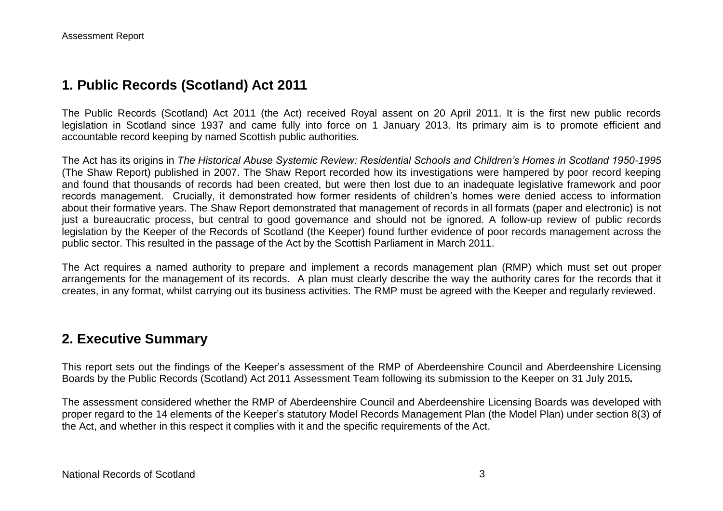## **1. Public Records (Scotland) Act 2011**

The Public Records (Scotland) Act 2011 (the Act) received Royal assent on 20 April 2011. It is the first new public records legislation in Scotland since 1937 and came fully into force on 1 January 2013. Its primary aim is to promote efficient and accountable record keeping by named Scottish public authorities.

The Act has its origins in *The Historical Abuse Systemic Review: Residential Schools and Children's Homes in Scotland 1950-1995* (The Shaw Report) published in 2007. The Shaw Report recorded how its investigations were hampered by poor record keeping and found that thousands of records had been created, but were then lost due to an inadequate legislative framework and poor records management. Crucially, it demonstrated how former residents of children's homes were denied access to information about their formative years. The Shaw Report demonstrated that management of records in all formats (paper and electronic) is not just a bureaucratic process, but central to good governance and should not be ignored. A follow-up review of public records legislation by the Keeper of the Records of Scotland (the Keeper) found further evidence of poor records management across the public sector. This resulted in the passage of the Act by the Scottish Parliament in March 2011.

The Act requires a named authority to prepare and implement a records management plan (RMP) which must set out proper arrangements for the management of its records. A plan must clearly describe the way the authority cares for the records that it creates, in any format, whilst carrying out its business activities. The RMP must be agreed with the Keeper and regularly reviewed.

## **2. Executive Summary**

This report sets out the findings of the Keeper's assessment of the RMP of Aberdeenshire Council and Aberdeenshire Licensing Boards by the Public Records (Scotland) Act 2011 Assessment Team following its submission to the Keeper on 31 July 2015*.*

The assessment considered whether the RMP of Aberdeenshire Council and Aberdeenshire Licensing Boards was developed with proper regard to the 14 elements of the Keeper's statutory Model Records Management Plan (the Model Plan) under section 8(3) of the Act, and whether in this respect it complies with it and the specific requirements of the Act.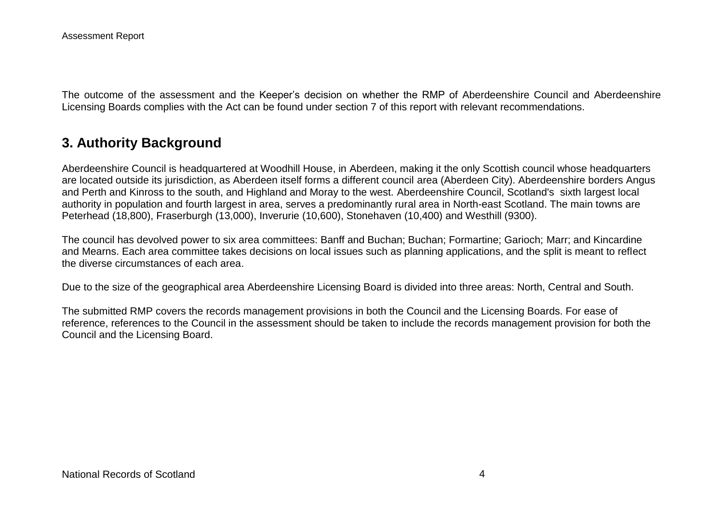The outcome of the assessment and the Keeper's decision on whether the RMP of Aberdeenshire Council and Aberdeenshire Licensing Boards complies with the Act can be found under section 7 of this report with relevant recommendations.

## **3. Authority Background**

Aberdeenshire Council is headquartered at Woodhill House, in Aberdeen, making it the only Scottish council whose headquarters are located outside its jurisdiction, as Aberdeen itself forms a different council area (Aberdeen City). Aberdeenshire borders Angus and Perth and Kinross to the south, and Highland and Moray to the west. Aberdeenshire Council, Scotland's sixth largest local authority in population and fourth largest in area, serves a predominantly rural area in North-east Scotland. The main towns are Peterhead (18,800), Fraserburgh (13,000), Inverurie (10,600), Stonehaven (10,400) and Westhill (9300).

The council has devolved power to six area committees: Banff and Buchan; Buchan; Formartine; Garioch; Marr; and Kincardine and Mearns. Each area committee takes decisions on local issues such as planning applications, and the split is meant to reflect the diverse circumstances of each area.

Due to the size of the geographical area Aberdeenshire Licensing Board is divided into three areas: North, Central and South.

The submitted RMP covers the records management provisions in both the Council and the Licensing Boards. For ease of reference, references to the Council in the assessment should be taken to include the records management provision for both the Council and the Licensing Board.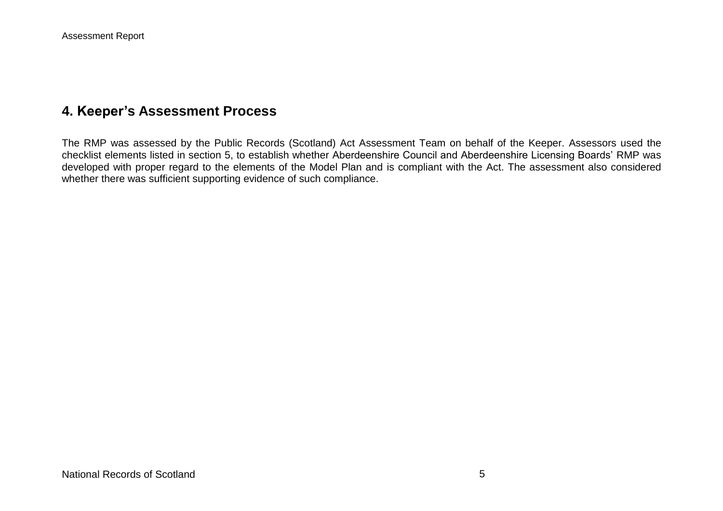## **4. Keeper's Assessment Process**

The RMP was assessed by the Public Records (Scotland) Act Assessment Team on behalf of the Keeper. Assessors used the checklist elements listed in section 5, to establish whether Aberdeenshire Council and Aberdeenshire Licensing Boards' RMP was developed with proper regard to the elements of the Model Plan and is compliant with the Act. The assessment also considered whether there was sufficient supporting evidence of such compliance.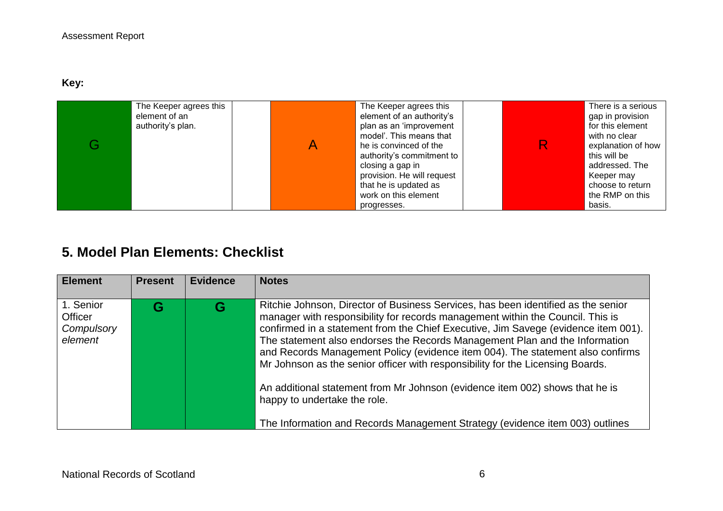**Key:** 

| The Keeper agrees this<br>element of an<br>authority's plan. | The Keeper agrees this<br>element of an authority's<br>plan as an 'improvement<br>model'. This means that<br>he is convinced of the<br>authority's commitment to<br>closing a gap in<br>provision. He will request<br>that he is updated as<br>work on this element | There is a serious<br>gap in provision<br>for this element<br>with no clear<br>explanation of how<br>this will be<br>addressed. The<br>Keeper may<br>choose to return<br>the RMP on this |
|--------------------------------------------------------------|---------------------------------------------------------------------------------------------------------------------------------------------------------------------------------------------------------------------------------------------------------------------|------------------------------------------------------------------------------------------------------------------------------------------------------------------------------------------|
|                                                              | progresses.                                                                                                                                                                                                                                                         | basis.                                                                                                                                                                                   |

## **5. Model Plan Elements: Checklist**

| <b>Element</b>                                | <b>Present</b> | <b>Evidence</b> | <b>Notes</b>                                                                                                                                                                                                                                                                                                                                                                                                                                                                                                                                                                                                                                                                                                 |
|-----------------------------------------------|----------------|-----------------|--------------------------------------------------------------------------------------------------------------------------------------------------------------------------------------------------------------------------------------------------------------------------------------------------------------------------------------------------------------------------------------------------------------------------------------------------------------------------------------------------------------------------------------------------------------------------------------------------------------------------------------------------------------------------------------------------------------|
| 1. Senior<br>Officer<br>Compulsory<br>element | G              | G               | Ritchie Johnson, Director of Business Services, has been identified as the senior<br>manager with responsibility for records management within the Council. This is<br>confirmed in a statement from the Chief Executive, Jim Savege (evidence item 001).<br>The statement also endorses the Records Management Plan and the Information<br>and Records Management Policy (evidence item 004). The statement also confirms<br>Mr Johnson as the senior officer with responsibility for the Licensing Boards.<br>An additional statement from Mr Johnson (evidence item 002) shows that he is<br>happy to undertake the role.<br>The Information and Records Management Strategy (evidence item 003) outlines |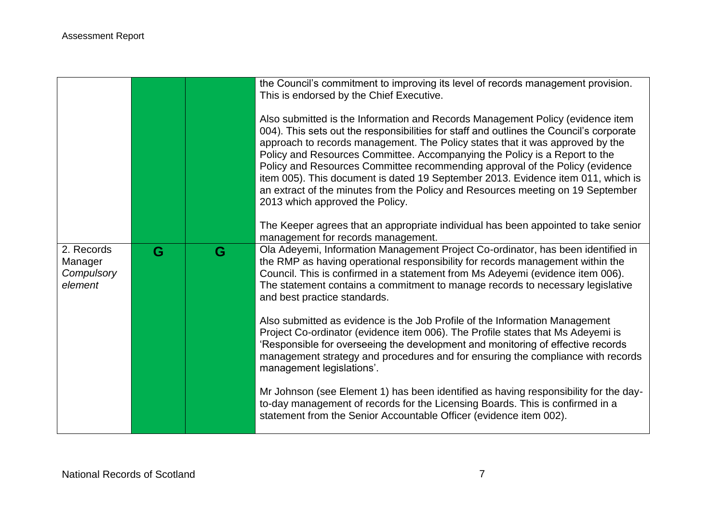|                                  |   |   | the Council's commitment to improving its level of records management provision.<br>This is endorsed by the Chief Executive.<br>Also submitted is the Information and Records Management Policy (evidence item<br>004). This sets out the responsibilities for staff and outlines the Council's corporate<br>approach to records management. The Policy states that it was approved by the<br>Policy and Resources Committee. Accompanying the Policy is a Report to the<br>Policy and Resources Committee recommending approval of the Policy (evidence<br>item 005). This document is dated 19 September 2013. Evidence item 011, which is<br>an extract of the minutes from the Policy and Resources meeting on 19 September<br>2013 which approved the Policy.<br>The Keeper agrees that an appropriate individual has been appointed to take senior |
|----------------------------------|---|---|----------------------------------------------------------------------------------------------------------------------------------------------------------------------------------------------------------------------------------------------------------------------------------------------------------------------------------------------------------------------------------------------------------------------------------------------------------------------------------------------------------------------------------------------------------------------------------------------------------------------------------------------------------------------------------------------------------------------------------------------------------------------------------------------------------------------------------------------------------|
| 2. Records                       | G | G | management for records management.<br>Ola Adeyemi, Information Management Project Co-ordinator, has been identified in                                                                                                                                                                                                                                                                                                                                                                                                                                                                                                                                                                                                                                                                                                                                   |
| Manager<br>Compulsory<br>element |   |   | the RMP as having operational responsibility for records management within the<br>Council. This is confirmed in a statement from Ms Adeyemi (evidence item 006).<br>The statement contains a commitment to manage records to necessary legislative<br>and best practice standards.                                                                                                                                                                                                                                                                                                                                                                                                                                                                                                                                                                       |
|                                  |   |   | Also submitted as evidence is the Job Profile of the Information Management<br>Project Co-ordinator (evidence item 006). The Profile states that Ms Adeyemi is<br>'Responsible for overseeing the development and monitoring of effective records<br>management strategy and procedures and for ensuring the compliance with records<br>management legislations'.                                                                                                                                                                                                                                                                                                                                                                                                                                                                                        |
|                                  |   |   | Mr Johnson (see Element 1) has been identified as having responsibility for the day-<br>to-day management of records for the Licensing Boards. This is confirmed in a<br>statement from the Senior Accountable Officer (evidence item 002).                                                                                                                                                                                                                                                                                                                                                                                                                                                                                                                                                                                                              |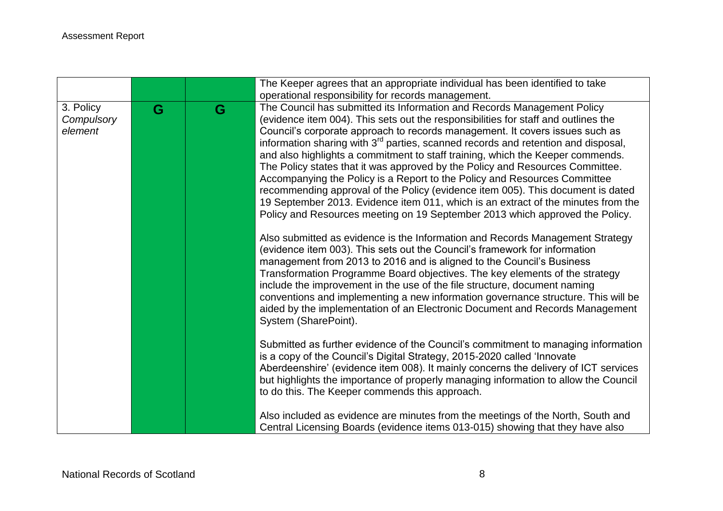|                                    |   |   | The Keeper agrees that an appropriate individual has been identified to take                                                                                                                                                                                                                                                                                                                                                                                                                                                                                                                                                                                                                                                                                                                                                                                                                                                                                                                                                                                                                                                                                                                                                                                                                                                                                                                                                                                                                                                                                                                                                                                                                                                                                                                                                                                                                                                               |
|------------------------------------|---|---|--------------------------------------------------------------------------------------------------------------------------------------------------------------------------------------------------------------------------------------------------------------------------------------------------------------------------------------------------------------------------------------------------------------------------------------------------------------------------------------------------------------------------------------------------------------------------------------------------------------------------------------------------------------------------------------------------------------------------------------------------------------------------------------------------------------------------------------------------------------------------------------------------------------------------------------------------------------------------------------------------------------------------------------------------------------------------------------------------------------------------------------------------------------------------------------------------------------------------------------------------------------------------------------------------------------------------------------------------------------------------------------------------------------------------------------------------------------------------------------------------------------------------------------------------------------------------------------------------------------------------------------------------------------------------------------------------------------------------------------------------------------------------------------------------------------------------------------------------------------------------------------------------------------------------------------------|
|                                    |   |   | operational responsibility for records management.                                                                                                                                                                                                                                                                                                                                                                                                                                                                                                                                                                                                                                                                                                                                                                                                                                                                                                                                                                                                                                                                                                                                                                                                                                                                                                                                                                                                                                                                                                                                                                                                                                                                                                                                                                                                                                                                                         |
| 3. Policy<br>Compulsory<br>element | G | G | The Council has submitted its Information and Records Management Policy<br>(evidence item 004). This sets out the responsibilities for staff and outlines the<br>Council's corporate approach to records management. It covers issues such as<br>information sharing with 3 <sup>rd</sup> parties, scanned records and retention and disposal,<br>and also highlights a commitment to staff training, which the Keeper commends.<br>The Policy states that it was approved by the Policy and Resources Committee.<br>Accompanying the Policy is a Report to the Policy and Resources Committee<br>recommending approval of the Policy (evidence item 005). This document is dated<br>19 September 2013. Evidence item 011, which is an extract of the minutes from the<br>Policy and Resources meeting on 19 September 2013 which approved the Policy.<br>Also submitted as evidence is the Information and Records Management Strategy<br>(evidence item 003). This sets out the Council's framework for information<br>management from 2013 to 2016 and is aligned to the Council's Business<br>Transformation Programme Board objectives. The key elements of the strategy<br>include the improvement in the use of the file structure, document naming<br>conventions and implementing a new information governance structure. This will be<br>aided by the implementation of an Electronic Document and Records Management<br>System (SharePoint).<br>Submitted as further evidence of the Council's commitment to managing information<br>is a copy of the Council's Digital Strategy, 2015-2020 called 'Innovate<br>Aberdeenshire' (evidence item 008). It mainly concerns the delivery of ICT services<br>but highlights the importance of properly managing information to allow the Council<br>to do this. The Keeper commends this approach.<br>Also included as evidence are minutes from the meetings of the North, South and |
|                                    |   |   | Central Licensing Boards (evidence items 013-015) showing that they have also                                                                                                                                                                                                                                                                                                                                                                                                                                                                                                                                                                                                                                                                                                                                                                                                                                                                                                                                                                                                                                                                                                                                                                                                                                                                                                                                                                                                                                                                                                                                                                                                                                                                                                                                                                                                                                                              |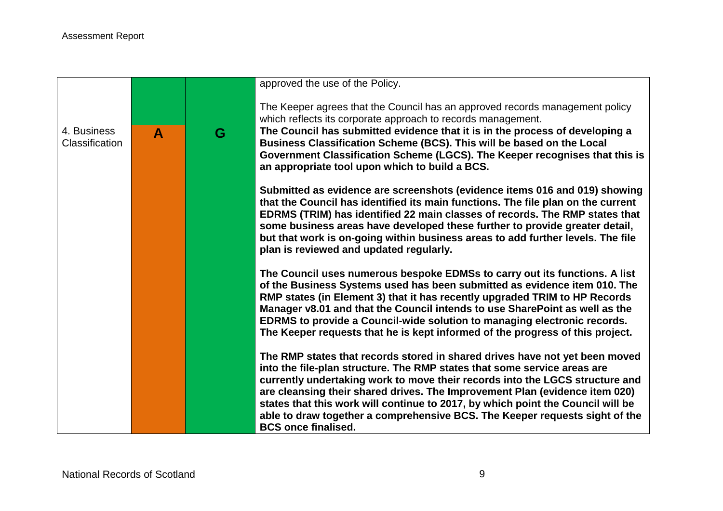|                               |   |   | approved the use of the Policy.                                                                                                                                                                                                                                                                                                                                                                                                                                                                                        |
|-------------------------------|---|---|------------------------------------------------------------------------------------------------------------------------------------------------------------------------------------------------------------------------------------------------------------------------------------------------------------------------------------------------------------------------------------------------------------------------------------------------------------------------------------------------------------------------|
|                               |   |   | The Keeper agrees that the Council has an approved records management policy<br>which reflects its corporate approach to records management.                                                                                                                                                                                                                                                                                                                                                                           |
| 4. Business<br>Classification | A | G | The Council has submitted evidence that it is in the process of developing a<br>Business Classification Scheme (BCS). This will be based on the Local<br>Government Classification Scheme (LGCS). The Keeper recognises that this is<br>an appropriate tool upon which to build a BCS.                                                                                                                                                                                                                                 |
|                               |   |   | Submitted as evidence are screenshots (evidence items 016 and 019) showing<br>that the Council has identified its main functions. The file plan on the current<br>EDRMS (TRIM) has identified 22 main classes of records. The RMP states that<br>some business areas have developed these further to provide greater detail,<br>but that work is on-going within business areas to add further levels. The file<br>plan is reviewed and updated regularly.                                                             |
|                               |   |   | The Council uses numerous bespoke EDMSs to carry out its functions. A list<br>of the Business Systems used has been submitted as evidence item 010. The<br>RMP states (in Element 3) that it has recently upgraded TRIM to HP Records<br>Manager v8.01 and that the Council intends to use SharePoint as well as the<br>EDRMS to provide a Council-wide solution to managing electronic records.<br>The Keeper requests that he is kept informed of the progress of this project.                                      |
|                               |   |   | The RMP states that records stored in shared drives have not yet been moved<br>into the file-plan structure. The RMP states that some service areas are<br>currently undertaking work to move their records into the LGCS structure and<br>are cleansing their shared drives. The Improvement Plan (evidence item 020)<br>states that this work will continue to 2017, by which point the Council will be<br>able to draw together a comprehensive BCS. The Keeper requests sight of the<br><b>BCS</b> once finalised. |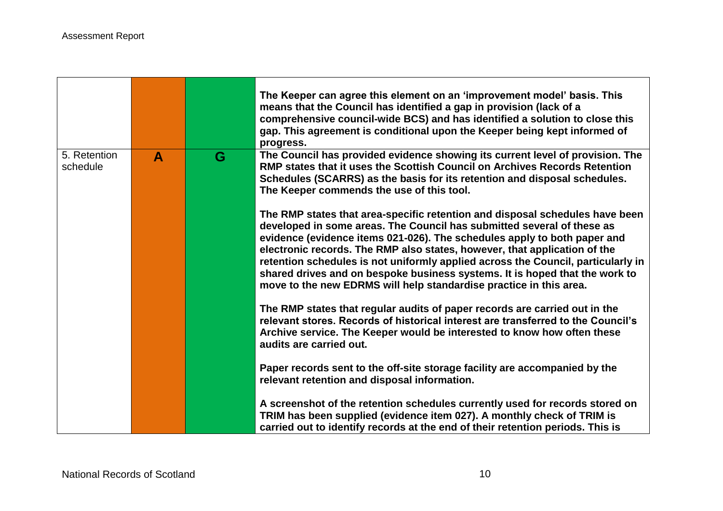|                          |   |   | The Keeper can agree this element on an 'improvement model' basis. This<br>means that the Council has identified a gap in provision (lack of a<br>comprehensive council-wide BCS) and has identified a solution to close this<br>gap. This agreement is conditional upon the Keeper being kept informed of<br>progress.                                                                                                                                                                                                                                  |
|--------------------------|---|---|----------------------------------------------------------------------------------------------------------------------------------------------------------------------------------------------------------------------------------------------------------------------------------------------------------------------------------------------------------------------------------------------------------------------------------------------------------------------------------------------------------------------------------------------------------|
| 5. Retention<br>schedule | A | G | The Council has provided evidence showing its current level of provision. The<br>RMP states that it uses the Scottish Council on Archives Records Retention<br>Schedules (SCARRS) as the basis for its retention and disposal schedules.<br>The Keeper commends the use of this tool.                                                                                                                                                                                                                                                                    |
|                          |   |   | The RMP states that area-specific retention and disposal schedules have been<br>developed in some areas. The Council has submitted several of these as<br>evidence (evidence items 021-026). The schedules apply to both paper and<br>electronic records. The RMP also states, however, that application of the<br>retention schedules is not uniformly applied across the Council, particularly in<br>shared drives and on bespoke business systems. It is hoped that the work to<br>move to the new EDRMS will help standardise practice in this area. |
|                          |   |   | The RMP states that regular audits of paper records are carried out in the<br>relevant stores. Records of historical interest are transferred to the Council's<br>Archive service. The Keeper would be interested to know how often these<br>audits are carried out.                                                                                                                                                                                                                                                                                     |
|                          |   |   | Paper records sent to the off-site storage facility are accompanied by the<br>relevant retention and disposal information.                                                                                                                                                                                                                                                                                                                                                                                                                               |
|                          |   |   | A screenshot of the retention schedules currently used for records stored on<br>TRIM has been supplied (evidence item 027). A monthly check of TRIM is<br>carried out to identify records at the end of their retention periods. This is                                                                                                                                                                                                                                                                                                                 |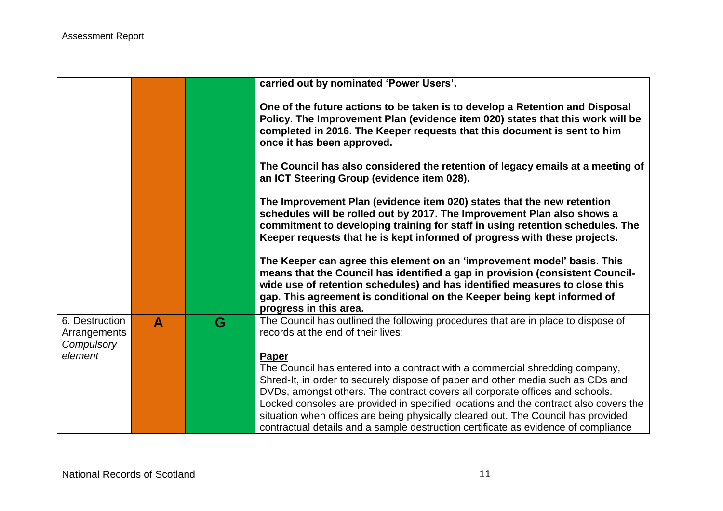|                                              |              |   | carried out by nominated 'Power Users'.                                                                                                                                                                                                                                                                                                          |
|----------------------------------------------|--------------|---|--------------------------------------------------------------------------------------------------------------------------------------------------------------------------------------------------------------------------------------------------------------------------------------------------------------------------------------------------|
|                                              |              |   | One of the future actions to be taken is to develop a Retention and Disposal<br>Policy. The Improvement Plan (evidence item 020) states that this work will be<br>completed in 2016. The Keeper requests that this document is sent to him<br>once it has been approved.                                                                         |
|                                              |              |   | The Council has also considered the retention of legacy emails at a meeting of<br>an ICT Steering Group (evidence item 028).                                                                                                                                                                                                                     |
|                                              |              |   | The Improvement Plan (evidence item 020) states that the new retention<br>schedules will be rolled out by 2017. The Improvement Plan also shows a<br>commitment to developing training for staff in using retention schedules. The<br>Keeper requests that he is kept informed of progress with these projects.                                  |
|                                              |              |   | The Keeper can agree this element on an 'improvement model' basis. This<br>means that the Council has identified a gap in provision (consistent Council-<br>wide use of retention schedules) and has identified measures to close this<br>gap. This agreement is conditional on the Keeper being kept informed of<br>progress in this area.      |
| 6. Destruction<br>Arrangements<br>Compulsory | $\mathbf{A}$ | G | The Council has outlined the following procedures that are in place to dispose of<br>records at the end of their lives:                                                                                                                                                                                                                          |
| element                                      |              |   | Paper<br>The Council has entered into a contract with a commercial shredding company,<br>Shred-It, in order to securely dispose of paper and other media such as CDs and<br>DVDs, amongst others. The contract covers all corporate offices and schools.<br>Locked consoles are provided in specified locations and the contract also covers the |
|                                              |              |   | situation when offices are being physically cleared out. The Council has provided<br>contractual details and a sample destruction certificate as evidence of compliance                                                                                                                                                                          |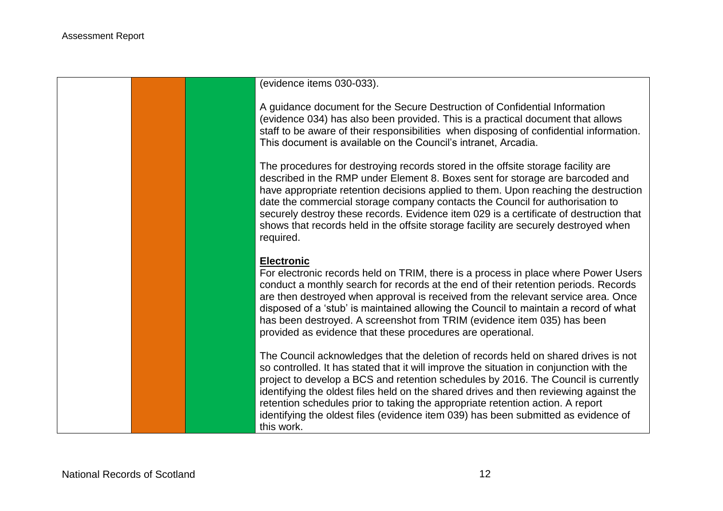(evidence items 030-033).

A guidance document for the Secure Destruction of Confidential Information (evidence 034) has also been provided. This is a practical document that allows staff to be aware of their responsibilities when disposing of confidential information. This document is available on the Council's intranet, Arcadia.

The procedures for destroying records stored in the offsite storage facility are described in the RMP under Element 8. Boxes sent for storage are barcoded and have appropriate retention decisions applied to them. Upon reaching the destruction date the commercial storage company contacts the Council for authorisation to securely destroy these records. Evidence item 029 is a certificate of destruction that shows that records held in the offsite storage facility are securely destroyed when required.

#### **Electronic**

For electronic records held on TRIM, there is a process in place where Power Users conduct a monthly search for records at the end of their retention periods. Records are then destroyed when approval is received from the relevant service area. Once disposed of a 'stub' is maintained allowing the Council to maintain a record of what has been destroyed. A screenshot from TRIM (evidence item 035) has been provided as evidence that these procedures are operational.

The Council acknowledges that the deletion of records held on shared drives is not so controlled. It has stated that it will improve the situation in conjunction with the project to develop a BCS and retention schedules by 2016. The Council is currently identifying the oldest files held on the shared drives and then reviewing against the retention schedules prior to taking the appropriate retention action. A report identifying the oldest files (evidence item 039) has been submitted as evidence of this work.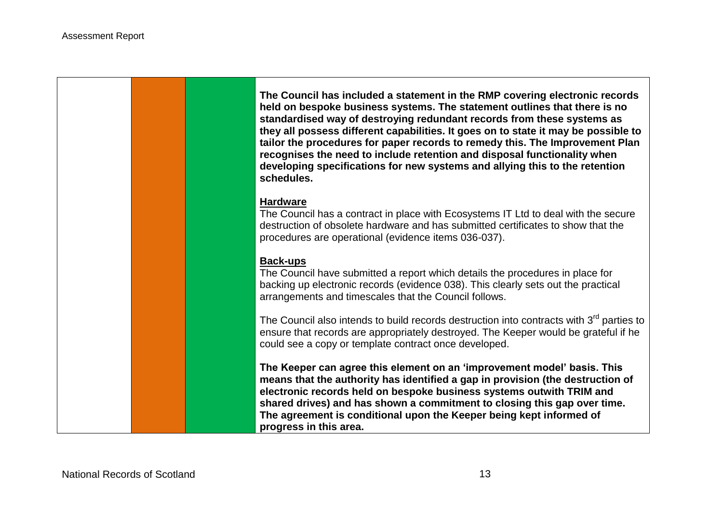**The Council has included a statement in the RMP covering electronic records held on bespoke business systems. The statement outlines that there is no standardised way of destroying redundant records from these systems as they all possess different capabilities. It goes on to state it may be possible to tailor the procedures for paper records to remedy this. The Improvement Plan recognises the need to include retention and disposal functionality when developing specifications for new systems and allying this to the retention schedules.**

#### **Hardware**

The Council has a contract in place with Ecosystems IT Ltd to deal with the secure destruction of obsolete hardware and has submitted certificates to show that the procedures are operational (evidence items 036-037).

#### **Back-ups**

The Council have submitted a report which details the procedures in place for backing up electronic records (evidence 038). This clearly sets out the practical arrangements and timescales that the Council follows.

The Council also intends to build records destruction into contracts with 3<sup>rd</sup> parties to ensure that records are appropriately destroyed. The Keeper would be grateful if he could see a copy or template contract once developed.

**The Keeper can agree this element on an 'improvement model' basis. This means that the authority has identified a gap in provision (the destruction of electronic records held on bespoke business systems outwith TRIM and shared drives) and has shown a commitment to closing this gap over time. The agreement is conditional upon the Keeper being kept informed of progress in this area.**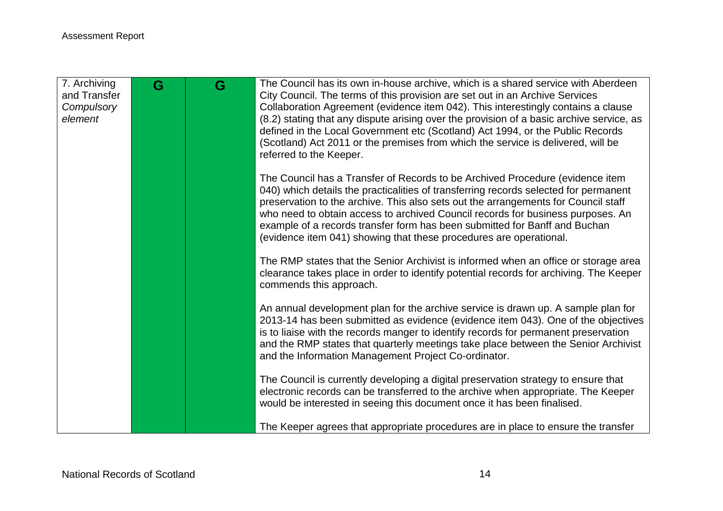| 7. Archiving<br>and Transfer<br>Compulsory | G | G | The Council has its own in-house archive, which is a shared service with Aberdeen<br>City Council. The terms of this provision are set out in an Archive Services<br>Collaboration Agreement (evidence item 042). This interestingly contains a clause                                                                                                                                                                                                                                             |
|--------------------------------------------|---|---|----------------------------------------------------------------------------------------------------------------------------------------------------------------------------------------------------------------------------------------------------------------------------------------------------------------------------------------------------------------------------------------------------------------------------------------------------------------------------------------------------|
| element                                    |   |   | (8.2) stating that any dispute arising over the provision of a basic archive service, as<br>defined in the Local Government etc (Scotland) Act 1994, or the Public Records<br>(Scotland) Act 2011 or the premises from which the service is delivered, will be<br>referred to the Keeper.                                                                                                                                                                                                          |
|                                            |   |   | The Council has a Transfer of Records to be Archived Procedure (evidence item<br>040) which details the practicalities of transferring records selected for permanent<br>preservation to the archive. This also sets out the arrangements for Council staff<br>who need to obtain access to archived Council records for business purposes. An<br>example of a records transfer form has been submitted for Banff and Buchan<br>(evidence item 041) showing that these procedures are operational. |
|                                            |   |   | The RMP states that the Senior Archivist is informed when an office or storage area<br>clearance takes place in order to identify potential records for archiving. The Keeper<br>commends this approach.                                                                                                                                                                                                                                                                                           |
|                                            |   |   | An annual development plan for the archive service is drawn up. A sample plan for<br>2013-14 has been submitted as evidence (evidence item 043). One of the objectives<br>is to liaise with the records manger to identify records for permanent preservation<br>and the RMP states that quarterly meetings take place between the Senior Archivist<br>and the Information Management Project Co-ordinator.                                                                                        |
|                                            |   |   | The Council is currently developing a digital preservation strategy to ensure that<br>electronic records can be transferred to the archive when appropriate. The Keeper<br>would be interested in seeing this document once it has been finalised.                                                                                                                                                                                                                                                 |
|                                            |   |   | The Keeper agrees that appropriate procedures are in place to ensure the transfer                                                                                                                                                                                                                                                                                                                                                                                                                  |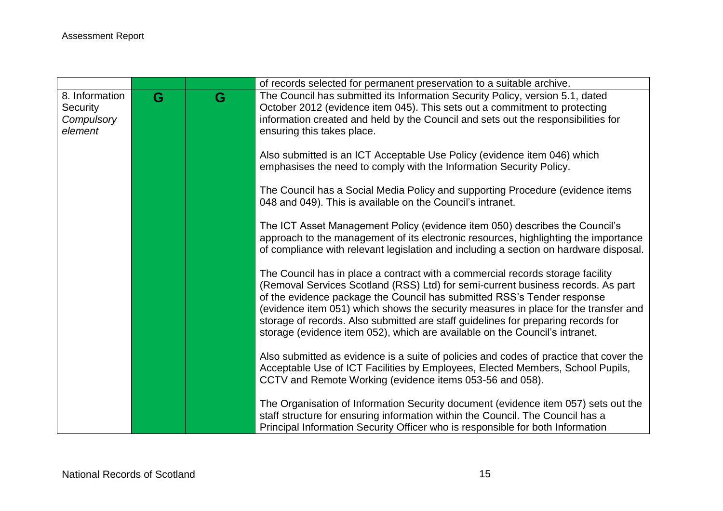|                |   |   | of records selected for permanent preservation to a suitable archive.                                                                                                                                                                                                                                                                                                                                                                                                                                    |
|----------------|---|---|----------------------------------------------------------------------------------------------------------------------------------------------------------------------------------------------------------------------------------------------------------------------------------------------------------------------------------------------------------------------------------------------------------------------------------------------------------------------------------------------------------|
| 8. Information | G | G | The Council has submitted its Information Security Policy, version 5.1, dated                                                                                                                                                                                                                                                                                                                                                                                                                            |
| Security       |   |   | October 2012 (evidence item 045). This sets out a commitment to protecting                                                                                                                                                                                                                                                                                                                                                                                                                               |
| Compulsory     |   |   | information created and held by the Council and sets out the responsibilities for                                                                                                                                                                                                                                                                                                                                                                                                                        |
| element        |   |   | ensuring this takes place.                                                                                                                                                                                                                                                                                                                                                                                                                                                                               |
|                |   |   | Also submitted is an ICT Acceptable Use Policy (evidence item 046) which<br>emphasises the need to comply with the Information Security Policy.                                                                                                                                                                                                                                                                                                                                                          |
|                |   |   | The Council has a Social Media Policy and supporting Procedure (evidence items<br>048 and 049). This is available on the Council's intranet.                                                                                                                                                                                                                                                                                                                                                             |
|                |   |   | The ICT Asset Management Policy (evidence item 050) describes the Council's<br>approach to the management of its electronic resources, highlighting the importance<br>of compliance with relevant legislation and including a section on hardware disposal.                                                                                                                                                                                                                                              |
|                |   |   | The Council has in place a contract with a commercial records storage facility<br>(Removal Services Scotland (RSS) Ltd) for semi-current business records. As part<br>of the evidence package the Council has submitted RSS's Tender response<br>(evidence item 051) which shows the security measures in place for the transfer and<br>storage of records. Also submitted are staff guidelines for preparing records for<br>storage (evidence item 052), which are available on the Council's intranet. |
|                |   |   | Also submitted as evidence is a suite of policies and codes of practice that cover the<br>Acceptable Use of ICT Facilities by Employees, Elected Members, School Pupils,<br>CCTV and Remote Working (evidence items 053-56 and 058).                                                                                                                                                                                                                                                                     |
|                |   |   | The Organisation of Information Security document (evidence item 057) sets out the<br>staff structure for ensuring information within the Council. The Council has a<br>Principal Information Security Officer who is responsible for both Information                                                                                                                                                                                                                                                   |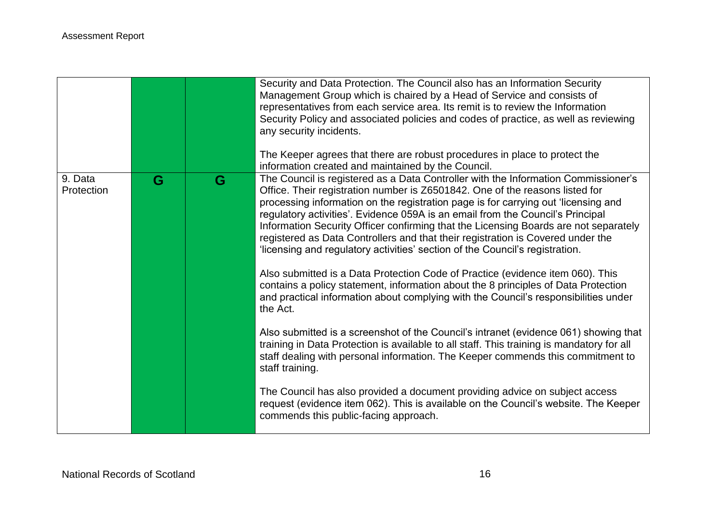|                       |   |   | Security and Data Protection. The Council also has an Information Security<br>Management Group which is chaired by a Head of Service and consists of<br>representatives from each service area. Its remit is to review the Information<br>Security Policy and associated policies and codes of practice, as well as reviewing<br>any security incidents.<br>The Keeper agrees that there are robust procedures in place to protect the<br>information created and maintained by the Council.                                                                                                          |
|-----------------------|---|---|-------------------------------------------------------------------------------------------------------------------------------------------------------------------------------------------------------------------------------------------------------------------------------------------------------------------------------------------------------------------------------------------------------------------------------------------------------------------------------------------------------------------------------------------------------------------------------------------------------|
| 9. Data<br>Protection | G | G | The Council is registered as a Data Controller with the Information Commissioner's<br>Office. Their registration number is Z6501842. One of the reasons listed for<br>processing information on the registration page is for carrying out 'licensing and<br>regulatory activities'. Evidence 059A is an email from the Council's Principal<br>Information Security Officer confirming that the Licensing Boards are not separately<br>registered as Data Controllers and that their registration is Covered under the<br>'licensing and regulatory activities' section of the Council's registration. |
|                       |   |   | Also submitted is a Data Protection Code of Practice (evidence item 060). This<br>contains a policy statement, information about the 8 principles of Data Protection<br>and practical information about complying with the Council's responsibilities under<br>the Act.                                                                                                                                                                                                                                                                                                                               |
|                       |   |   | Also submitted is a screenshot of the Council's intranet (evidence 061) showing that<br>training in Data Protection is available to all staff. This training is mandatory for all<br>staff dealing with personal information. The Keeper commends this commitment to<br>staff training.                                                                                                                                                                                                                                                                                                               |
|                       |   |   | The Council has also provided a document providing advice on subject access<br>request (evidence item 062). This is available on the Council's website. The Keeper<br>commends this public-facing approach.                                                                                                                                                                                                                                                                                                                                                                                           |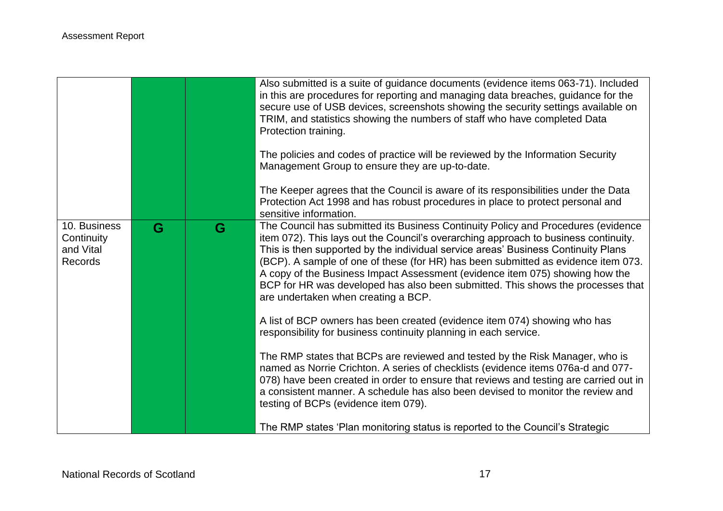|                                                           |   |   | Also submitted is a suite of guidance documents (evidence items 063-71). Included<br>in this are procedures for reporting and managing data breaches, guidance for the<br>secure use of USB devices, screenshots showing the security settings available on<br>TRIM, and statistics showing the numbers of staff who have completed Data<br>Protection training.<br>The policies and codes of practice will be reviewed by the Information Security<br>Management Group to ensure they are up-to-date.<br>The Keeper agrees that the Council is aware of its responsibilities under the Data<br>Protection Act 1998 and has robust procedures in place to protect personal and<br>sensitive information.                                                                                                                                                                                                                                                                                                                                                                                              |
|-----------------------------------------------------------|---|---|-------------------------------------------------------------------------------------------------------------------------------------------------------------------------------------------------------------------------------------------------------------------------------------------------------------------------------------------------------------------------------------------------------------------------------------------------------------------------------------------------------------------------------------------------------------------------------------------------------------------------------------------------------------------------------------------------------------------------------------------------------------------------------------------------------------------------------------------------------------------------------------------------------------------------------------------------------------------------------------------------------------------------------------------------------------------------------------------------------|
| 10. Business<br>Continuity<br>and Vital<br><b>Records</b> | G | G | The Council has submitted its Business Continuity Policy and Procedures (evidence<br>item 072). This lays out the Council's overarching approach to business continuity.<br>This is then supported by the individual service areas' Business Continuity Plans<br>(BCP). A sample of one of these (for HR) has been submitted as evidence item 073.<br>A copy of the Business Impact Assessment (evidence item 075) showing how the<br>BCP for HR was developed has also been submitted. This shows the processes that<br>are undertaken when creating a BCP.<br>A list of BCP owners has been created (evidence item 074) showing who has<br>responsibility for business continuity planning in each service.<br>The RMP states that BCPs are reviewed and tested by the Risk Manager, who is<br>named as Norrie Crichton. A series of checklists (evidence items 076a-d and 077-<br>078) have been created in order to ensure that reviews and testing are carried out in<br>a consistent manner. A schedule has also been devised to monitor the review and<br>testing of BCPs (evidence item 079). |
|                                                           |   |   | The RMP states 'Plan monitoring status is reported to the Council's Strategic                                                                                                                                                                                                                                                                                                                                                                                                                                                                                                                                                                                                                                                                                                                                                                                                                                                                                                                                                                                                                         |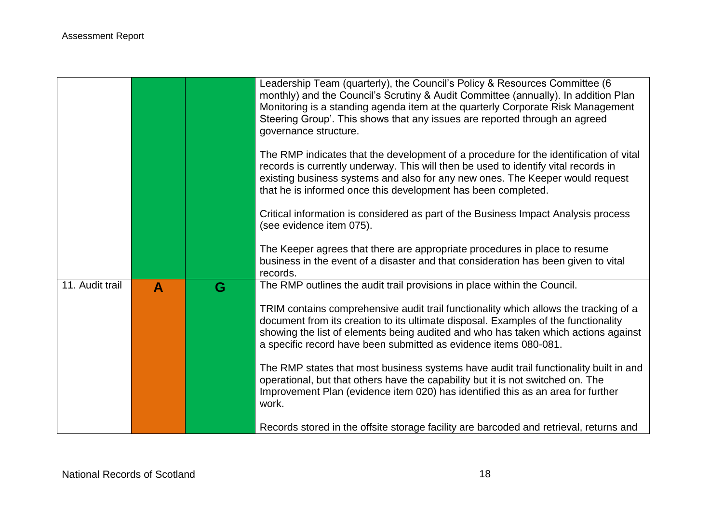|                 |                  |   | Leadership Team (quarterly), the Council's Policy & Resources Committee (6<br>monthly) and the Council's Scrutiny & Audit Committee (annually). In addition Plan<br>Monitoring is a standing agenda item at the quarterly Corporate Risk Management<br>Steering Group'. This shows that any issues are reported through an agreed<br>governance structure. |
|-----------------|------------------|---|------------------------------------------------------------------------------------------------------------------------------------------------------------------------------------------------------------------------------------------------------------------------------------------------------------------------------------------------------------|
|                 |                  |   | The RMP indicates that the development of a procedure for the identification of vital<br>records is currently underway. This will then be used to identify vital records in<br>existing business systems and also for any new ones. The Keeper would request<br>that he is informed once this development has been completed.                              |
|                 |                  |   | Critical information is considered as part of the Business Impact Analysis process<br>(see evidence item 075).                                                                                                                                                                                                                                             |
|                 |                  |   | The Keeper agrees that there are appropriate procedures in place to resume<br>business in the event of a disaster and that consideration has been given to vital<br>records.                                                                                                                                                                               |
| 11. Audit trail | $\blacktriangle$ | G | The RMP outlines the audit trail provisions in place within the Council.                                                                                                                                                                                                                                                                                   |
|                 |                  |   | TRIM contains comprehensive audit trail functionality which allows the tracking of a<br>document from its creation to its ultimate disposal. Examples of the functionality<br>showing the list of elements being audited and who has taken which actions against<br>a specific record have been submitted as evidence items 080-081.                       |
|                 |                  |   | The RMP states that most business systems have audit trail functionality built in and<br>operational, but that others have the capability but it is not switched on. The<br>Improvement Plan (evidence item 020) has identified this as an area for further<br>work.                                                                                       |
|                 |                  |   | Records stored in the offsite storage facility are barcoded and retrieval, returns and                                                                                                                                                                                                                                                                     |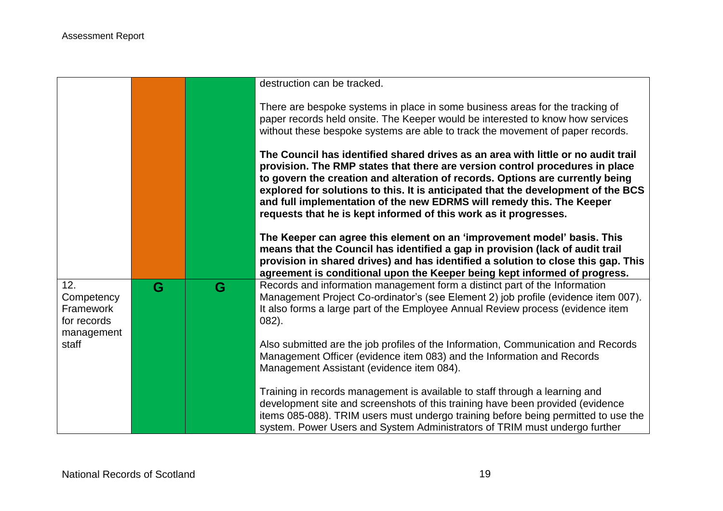|                                                                      |   |   | destruction can be tracked.                                                                                                                                                                                                                                                                                                                                                                                                                                                          |
|----------------------------------------------------------------------|---|---|--------------------------------------------------------------------------------------------------------------------------------------------------------------------------------------------------------------------------------------------------------------------------------------------------------------------------------------------------------------------------------------------------------------------------------------------------------------------------------------|
|                                                                      |   |   | There are bespoke systems in place in some business areas for the tracking of<br>paper records held onsite. The Keeper would be interested to know how services<br>without these bespoke systems are able to track the movement of paper records.                                                                                                                                                                                                                                    |
|                                                                      |   |   | The Council has identified shared drives as an area with little or no audit trail<br>provision. The RMP states that there are version control procedures in place<br>to govern the creation and alteration of records. Options are currently being<br>explored for solutions to this. It is anticipated that the development of the BCS<br>and full implementation of the new EDRMS will remedy this. The Keeper<br>requests that he is kept informed of this work as it progresses. |
|                                                                      |   |   | The Keeper can agree this element on an 'improvement model' basis. This<br>means that the Council has identified a gap in provision (lack of audit trail<br>provision in shared drives) and has identified a solution to close this gap. This<br>agreement is conditional upon the Keeper being kept informed of progress.                                                                                                                                                           |
| 12.<br>Competency<br>Framework<br>for records<br>management<br>staff | G | G | Records and information management form a distinct part of the Information<br>Management Project Co-ordinator's (see Element 2) job profile (evidence item 007).<br>It also forms a large part of the Employee Annual Review process (evidence item<br>$082$ ).                                                                                                                                                                                                                      |
|                                                                      |   |   | Also submitted are the job profiles of the Information, Communication and Records<br>Management Officer (evidence item 083) and the Information and Records<br>Management Assistant (evidence item 084).                                                                                                                                                                                                                                                                             |
|                                                                      |   |   | Training in records management is available to staff through a learning and<br>development site and screenshots of this training have been provided (evidence<br>items 085-088). TRIM users must undergo training before being permitted to use the<br>system. Power Users and System Administrators of TRIM must undergo further                                                                                                                                                    |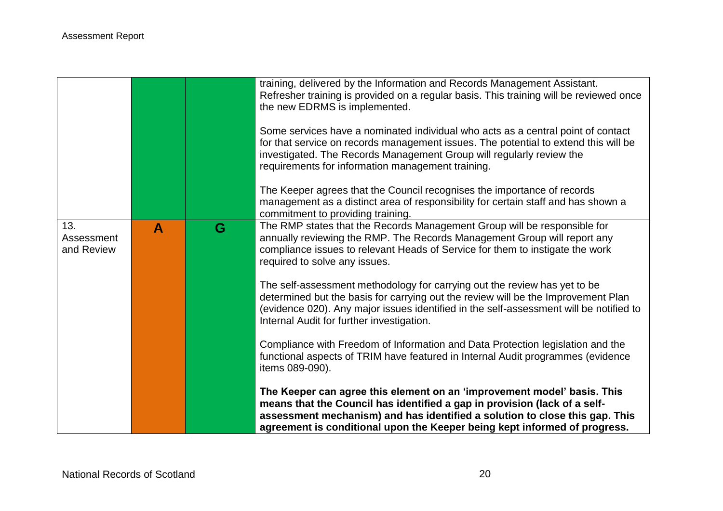|                                 |   |   | training, delivered by the Information and Records Management Assistant.<br>Refresher training is provided on a regular basis. This training will be reviewed once<br>the new EDRMS is implemented.<br>Some services have a nominated individual who acts as a central point of contact<br>for that service on records management issues. The potential to extend this will be<br>investigated. The Records Management Group will regularly review the<br>requirements for information management training.<br>The Keeper agrees that the Council recognises the importance of records<br>management as a distinct area of responsibility for certain staff and has shown a<br>commitment to providing training. |
|---------------------------------|---|---|------------------------------------------------------------------------------------------------------------------------------------------------------------------------------------------------------------------------------------------------------------------------------------------------------------------------------------------------------------------------------------------------------------------------------------------------------------------------------------------------------------------------------------------------------------------------------------------------------------------------------------------------------------------------------------------------------------------|
| 13.<br>Assessment<br>and Review | A | G | The RMP states that the Records Management Group will be responsible for<br>annually reviewing the RMP. The Records Management Group will report any<br>compliance issues to relevant Heads of Service for them to instigate the work                                                                                                                                                                                                                                                                                                                                                                                                                                                                            |
|                                 |   |   | required to solve any issues.                                                                                                                                                                                                                                                                                                                                                                                                                                                                                                                                                                                                                                                                                    |
|                                 |   |   | The self-assessment methodology for carrying out the review has yet to be<br>determined but the basis for carrying out the review will be the Improvement Plan<br>(evidence 020). Any major issues identified in the self-assessment will be notified to<br>Internal Audit for further investigation.                                                                                                                                                                                                                                                                                                                                                                                                            |
|                                 |   |   | Compliance with Freedom of Information and Data Protection legislation and the<br>functional aspects of TRIM have featured in Internal Audit programmes (evidence<br>items 089-090).                                                                                                                                                                                                                                                                                                                                                                                                                                                                                                                             |
|                                 |   |   | The Keeper can agree this element on an 'improvement model' basis. This<br>means that the Council has identified a gap in provision (lack of a self-<br>assessment mechanism) and has identified a solution to close this gap. This<br>agreement is conditional upon the Keeper being kept informed of progress.                                                                                                                                                                                                                                                                                                                                                                                                 |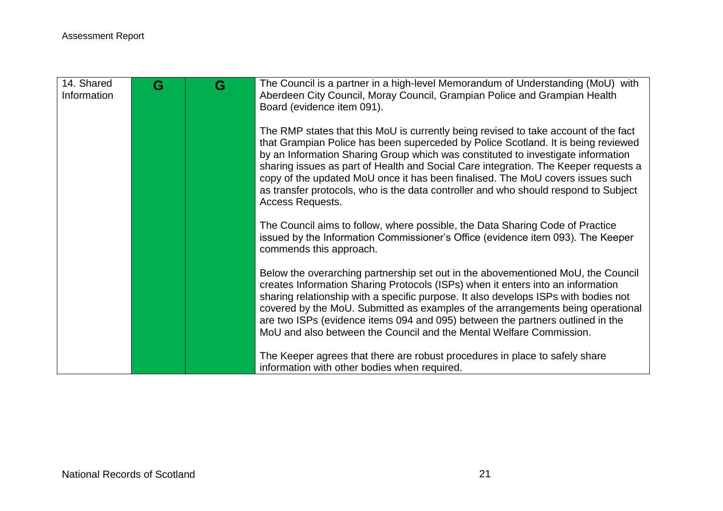| 14. Shared<br>Information | G | G | The Council is a partner in a high-level Memorandum of Understanding (MoU) with<br>Aberdeen City Council, Moray Council, Grampian Police and Grampian Health<br>Board (evidence item 091).                                                                                                                                                                                                                                                                                                                                                       |
|---------------------------|---|---|--------------------------------------------------------------------------------------------------------------------------------------------------------------------------------------------------------------------------------------------------------------------------------------------------------------------------------------------------------------------------------------------------------------------------------------------------------------------------------------------------------------------------------------------------|
|                           |   |   | The RMP states that this MoU is currently being revised to take account of the fact<br>that Grampian Police has been superceded by Police Scotland. It is being reviewed<br>by an Information Sharing Group which was constituted to investigate information<br>sharing issues as part of Health and Social Care integration. The Keeper requests a<br>copy of the updated MoU once it has been finalised. The MoU covers issues such<br>as transfer protocols, who is the data controller and who should respond to Subject<br>Access Requests. |
|                           |   |   | The Council aims to follow, where possible, the Data Sharing Code of Practice<br>issued by the Information Commissioner's Office (evidence item 093). The Keeper<br>commends this approach.                                                                                                                                                                                                                                                                                                                                                      |
|                           |   |   | Below the overarching partnership set out in the abovementioned MoU, the Council<br>creates Information Sharing Protocols (ISPs) when it enters into an information<br>sharing relationship with a specific purpose. It also develops ISPs with bodies not<br>covered by the MoU. Submitted as examples of the arrangements being operational<br>are two ISPs (evidence items 094 and 095) between the partners outlined in the<br>MoU and also between the Council and the Mental Welfare Commission.                                           |
|                           |   |   | The Keeper agrees that there are robust procedures in place to safely share<br>information with other bodies when required.                                                                                                                                                                                                                                                                                                                                                                                                                      |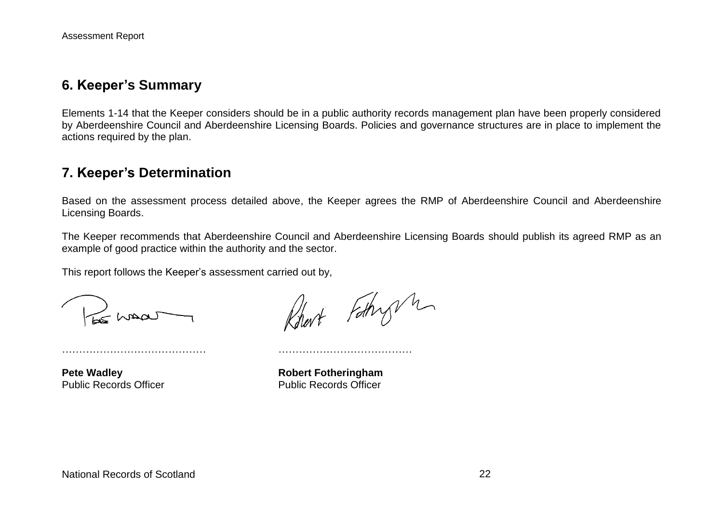### **6. Keeper's Summary**

Elements 1-14 that the Keeper considers should be in a public authority records management plan have been properly considered by Aberdeenshire Council and Aberdeenshire Licensing Boards. Policies and governance structures are in place to implement the actions required by the plan.

## **7. Keeper's Determination**

Based on the assessment process detailed above, the Keeper agrees the RMP of Aberdeenshire Council and Aberdeenshire Licensing Boards.

The Keeper recommends that Aberdeenshire Council and Aberdeenshire Licensing Boards should publish its agreed RMP as an example of good practice within the authority and the sector.

This report follows the Keeper's assessment carried out by,

…………………………………… …………………………………

Chaar

Robert Fothry m

**Pete Wadley <b>Robert Fotheringham** Public Records Officer Public Records Officer